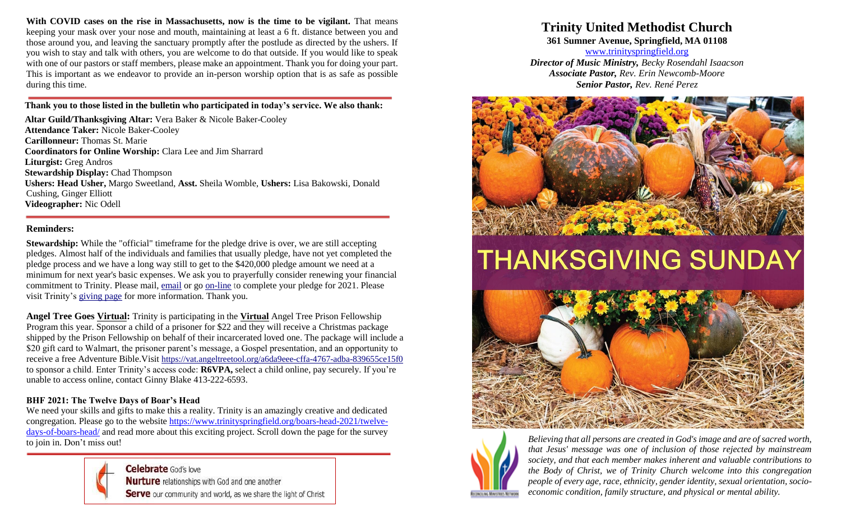**With COVID cases on the rise in Massachusetts, now is the time to be vigilant.** That means keeping your mask over your nose and mouth, maintaining at least a 6 ft. distance between you and those around you, and leaving the sanctuary promptly after the postlude as directed by the ushers. If you wish to stay and talk with others, you are welcome to do that outside. If you would like to speak with one of our pastors or staff members, please make an appointment. Thank you for doing your part. This is important as we endeavor to provide an in-person worship option that is as safe as possible during this time.

#### **Thank you to those listed in the bulletin who participated in today's service. We also thank:**

**Altar Guild/Thanksgiving Altar:** Vera Baker & Nicole Baker-Cooley **Attendance Taker:** Nicole Baker-Cooley **Carillonneur:** Thomas St. Marie **Coordinators for Online Worship:** Clara Lee and Jim Sharrard **Liturgist:** Greg Andros **Stewardship Display:** Chad Thompson **Ushers: Head Usher,** Margo Sweetland, **Asst.** Sheila Womble, **Ushers:** Lisa Bakowski, Donald Cushing, Ginger Elliott **Videographer:** Nic Odell

#### **Reminders:**

**Stewardship:** While the "official" timeframe for the pledge drive is over, we are still accepting pledges. Almost half of the individuals and families that usually pledge, have not yet completed the pledge process and we have a long way still to get to the \$420,000 pledge amount we need at a minimum for next year's basic expenses. We ask you to prayerfully consider renewing your financial commitment to Trinity. Please mail, [email](mailto:administrator@trinityspringfield.org) or go [on-line](https://trinityspringfield.us19.list-manage.com/track/click?u=c52590a732ce488244124a334&id=b270fe9cca&e=e610c40ba8) to complete your pledge for 2021. Please visit Trinity's [giving page](https://trinityspringfield.us19.list-manage.com/track/click?u=c52590a732ce488244124a334&id=4337c01040&e=e610c40ba8) for more information. Thank you.

**Angel Tree Goes Virtual:** Trinity is participating in the **Virtual** Angel Tree Prison Fellowship Program this year. Sponsor a child of a prisoner for \$22 and they will receive a Christmas package shipped by the Prison Fellowship on behalf of their incarcerated loved one. The package will include a \$20 gift card to Walmart, the prisoner parent's message, a Gospel presentation, and an opportunity to receive a free Adventure Bible.Visit [https://vat.angeltreetool.org/a6da9eee-cffa-4767-adba-839655ce15f0](https://trinityspringfield.us19.list-manage.com/track/click?u=c52590a732ce488244124a334&id=6eae92e72d&e=e610c40ba8) to sponsor a child. Enter Trinity's access code: **R6VPA,** select a child online, pay securely. If you're unable to access online, contact Ginny Blake 413-222-6593.

### **BHF 2021: The Twelve Days of Boar's Head**

We need your skills and gifts to make this a reality. Trinity is an amazingly creative and dedicated congregation. Please go to the website [https://www.trinityspringfield.org/boars-head-2021/twelve](https://www.trinityspringfield.org/boars-head-2021/twelve-days-of-boars-head/)[days-of-boars-head/](https://www.trinityspringfield.org/boars-head-2021/twelve-days-of-boars-head/) and read more about this exciting project. Scroll down the page for the survey to join in. Don't miss out!



**Celebrate** God's love **Nurture** relationships with God and one another Serve our community and world, as we share the light of Christ

## **Trinity United Methodist Church**

**361 Sumner Avenue, Springfield, MA 01108**

[www.trinityspringfield.org](http://www.trinityspringfield.org/) *Director of Music Ministry, Becky Rosendahl Isaacson Associate Pastor, Rev. Erin Newcomb-Moore Senior Pastor, Rev. René Perez*



# **THANKSGIVING SUNDAY**





*Believing that all persons are created in God's image and are of sacred worth, that Jesus' message was one of inclusion of those rejected by mainstream society, and that each member makes inherent and valuable contributions to the Body of Christ, we of Trinity Church welcome into this congregation people of every age, race, ethnicity, gender identity, sexual orientation, socioeconomic condition, family structure, and physical or mental ability.*